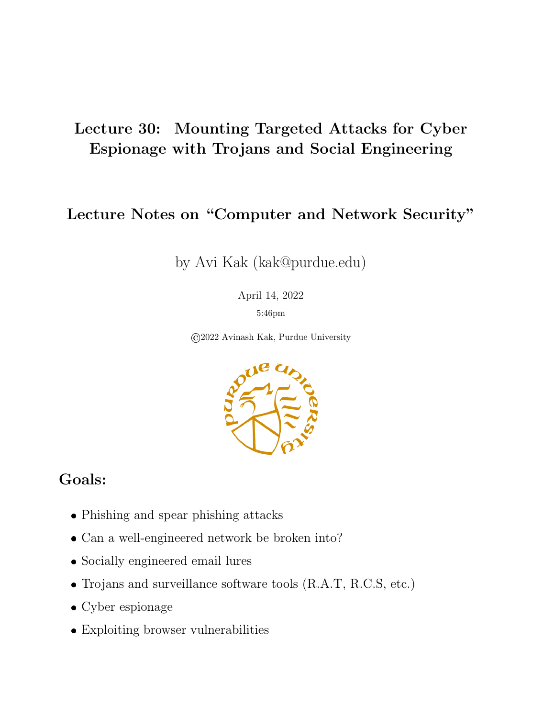#### Lecture 30: Mounting Targeted Attacks for Cyber Espionage with Trojans and Social Engineering

#### Lecture Notes on "Computer and Network Security"

by Avi Kak (kak@purdue.edu)

April 14, 2022

5:46pm

©2022 Avinash Kak, Purdue University



#### Goals:

- Phishing and spear phishing attacks
- Can a well-engineered network be broken into?
- Socially engineered email lures
- Trojans and surveillance software tools (R.A.T, R.C.S, etc.)
- Cyber espionage
- Exploiting browser vulnerabilities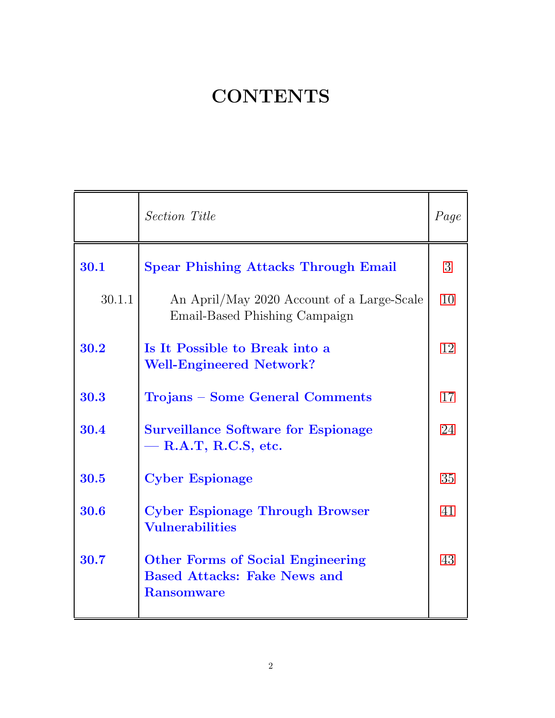## **CONTENTS**

<span id="page-1-0"></span>

|        | <b>Section Title</b>                                                                                 | Page |
|--------|------------------------------------------------------------------------------------------------------|------|
| 30.1   | <b>Spear Phishing Attacks Through Email</b>                                                          | 3    |
| 30.1.1 | An April/May 2020 Account of a Large-Scale<br>Email-Based Phishing Campaign                          | 10   |
| 30.2   | Is It Possible to Break into a<br><b>Well-Engineered Network?</b>                                    | 12   |
| 30.3   | <b>Trojans - Some General Comments</b>                                                               | 17   |
| 30.4   | <b>Surveillance Software for Espionage</b><br>$-$ R.A.T, R.C.S, etc.                                 | 24   |
| 30.5   | <b>Cyber Espionage</b>                                                                               | 35   |
| 30.6   | <b>Cyber Espionage Through Browser</b><br><b>Vulnerabilities</b>                                     | 41   |
| 30.7   | <b>Other Forms of Social Engineering</b><br><b>Based Attacks: Fake News and</b><br><b>Ransomware</b> | 43   |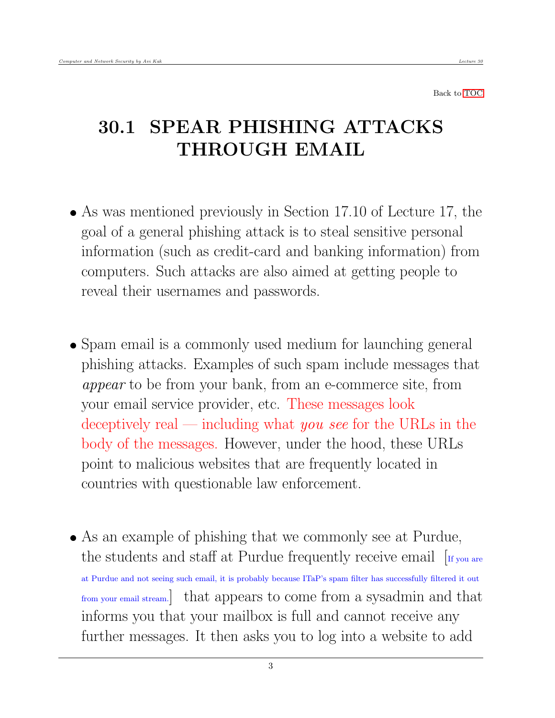## <span id="page-2-0"></span>30.1 SPEAR PHISHING ATTACKS THROUGH EMAIL

- As was mentioned previously in Section 17.10 of Lecture 17, the goal of a general phishing attack is to steal sensitive personal information (such as credit-card and banking information) from computers. Such attacks are also aimed at getting people to reveal their usernames and passwords.
- Spam email is a commonly used medium for launching general phishing attacks. Examples of such spam include messages that appear to be from your bank, from an e-commerce site, from your email service provider, etc. These messages look deceptively real — including what *you see* for the URLs in the body of the messages. However, under the hood, these URLs point to malicious websites that are frequently located in countries with questionable law enforcement.
- As an example of phishing that we commonly see at Purdue, the students and staff at Purdue frequently receive email  $\left[\text{If you are}\right]$ at Purdue and not seeing such email, it is probably because ITaP's spam filter has successfully filtered it out from your email stream.] that appears to come from a sysadmin and that informs you that your mailbox is full and cannot receive any further messages. It then asks you to log into a website to add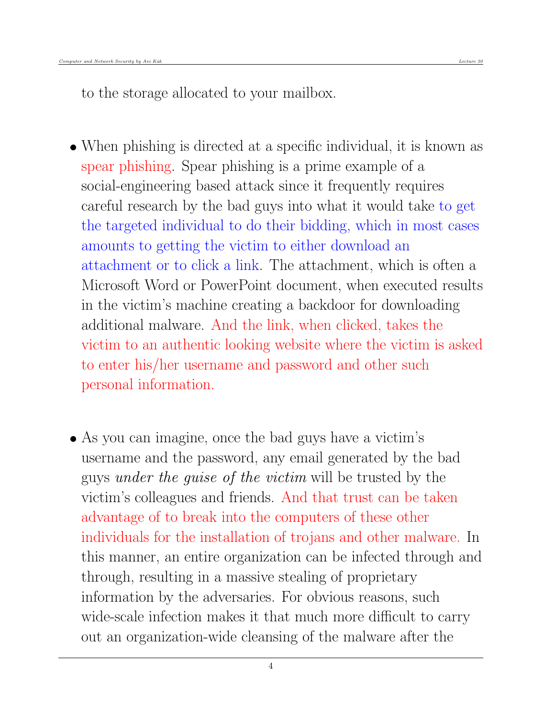to the storage allocated to your mailbox.

- When phishing is directed at a specific individual, it is known as spear phishing. Spear phishing is a prime example of a social-engineering based attack since it frequently requires careful research by the bad guys into what it would take to get the targeted individual to do their bidding, which in most cases amounts to getting the victim to either download an attachment or to click a link. The attachment, which is often a Microsoft Word or PowerPoint document, when executed results in the victim's machine creating a backdoor for downloading additional malware. And the link, when clicked, takes the victim to an authentic looking website where the victim is asked to enter his/her username and password and other such personal information.
- As you can imagine, once the bad guys have a victim's username and the password, any email generated by the bad guys under the guise of the victim will be trusted by the victim's colleagues and friends. And that trust can be taken advantage of to break into the computers of these other individuals for the installation of trojans and other malware. In this manner, an entire organization can be infected through and through, resulting in a massive stealing of proprietary information by the adversaries. For obvious reasons, such wide-scale infection makes it that much more difficult to carry out an organization-wide cleansing of the malware after the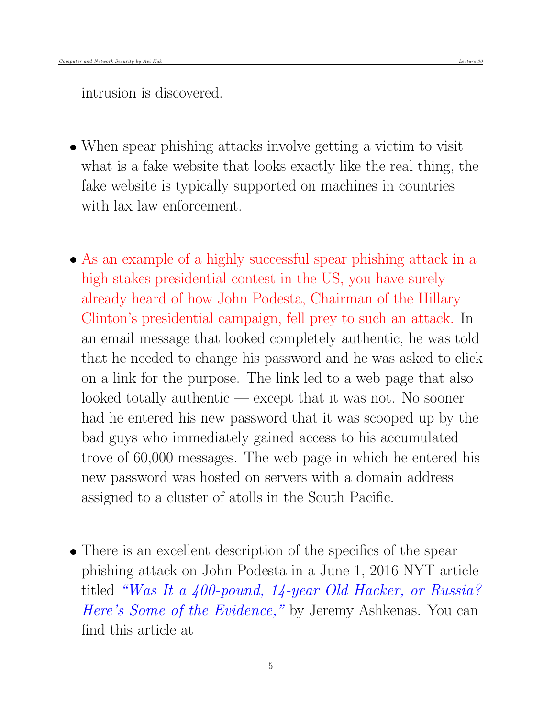intrusion is discovered.

- When spear phishing attacks involve getting a victim to visit what is a fake website that looks exactly like the real thing, the fake website is typically supported on machines in countries with lax law enforcement.
- As an example of a highly successful spear phishing attack in a high-stakes presidential contest in the US, you have surely already heard of how John Podesta, Chairman of the Hillary Clinton's presidential campaign, fell prey to such an attack. In an email message that looked completely authentic, he was told that he needed to change his password and he was asked to click on a link for the purpose. The link led to a web page that also looked totally authentic — except that it was not. No sooner had he entered his new password that it was scooped up by the bad guys who immediately gained access to his accumulated trove of 60,000 messages. The web page in which he entered his new password was hosted on servers with a domain address assigned to a cluster of atolls in the South Pacific.
- There is an excellent description of the specifics of the spear phishing attack on John Podesta in a June 1, 2016 NYT article titled "Was It a 400-pound, 14-year Old Hacker, or Russia? Here's Some of the Evidence," by Jeremy Ashkenas. You can find this article at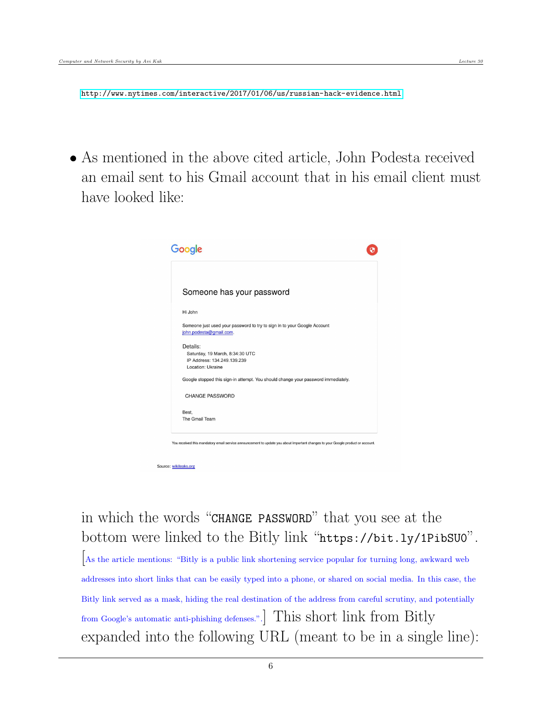<http://www.nytimes.com/interactive/2017/01/06/us/russian-hack-evidence.html>

 As mentioned in the above cited article, John Podesta received an email sent to his Gmail account that in his email client must have looked like:



in which the words "CHANGE PASSWORD" that you see at the bottom were linked to the Bitly link "https://bit.ly/1PibSU0". [As the article mentions: "Bitly is a public link shortening service popular for turning long, awkward web addresses into short links that can be easily typed into a phone, or shared on social media. In this case, the Bitly link served as a mask, hiding the real destination of the address from careful scrutiny, and potentially

from Google's automatic anti-phishing defenses.".] This short link from Bitly expanded into the following URL (meant to be in a single line):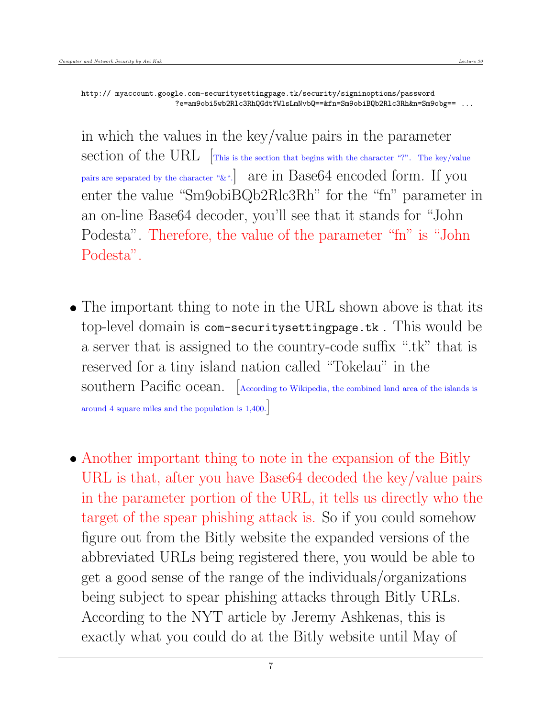http:// myaccount.google.com-securitysettingpage.tk/security/signinoptions/password ?e=am9obi5wb2Rlc3RhQGdtYWlsLmNvbQ==&fn=Sm9obiBQb2Rlc3Rh&n=Sm9obg==

in which the values in the key/value pairs in the parameter section of the URL  $\left[\right]$ This is the section that begins with the character "?". The key/value pairs are separated by the character "&".] are in Base64 encoded form. If you enter the value "Sm9obiBQb2Rlc3Rh" for the "fn" parameter in an on-line Base64 decoder, you'll see that it stands for "John Podesta". Therefore, the value of the parameter "fn" is "John Podesta".

- The important thing to note in the URL shown above is that its top-level domain is com-securitysettingpage.tk . This would be a server that is assigned to the country-code suffix ".tk" that is reserved for a tiny island nation called "Tokelau" in the southern Pacific ocean. [According to Wikipedia, the combined land area of the islands is around 4 square miles and the population is 1,400.]
- Another important thing to note in the expansion of the Bitly URL is that, after you have Base64 decoded the key/value pairs in the parameter portion of the URL, it tells us directly who the target of the spear phishing attack is. So if you could somehow figure out from the Bitly website the expanded versions of the abbreviated URLs being registered there, you would be able to get a good sense of the range of the individuals/organizations being subject to spear phishing attacks through Bitly URLs. According to the NYT article by Jeremy Ashkenas, this is exactly what you could do at the Bitly website until May of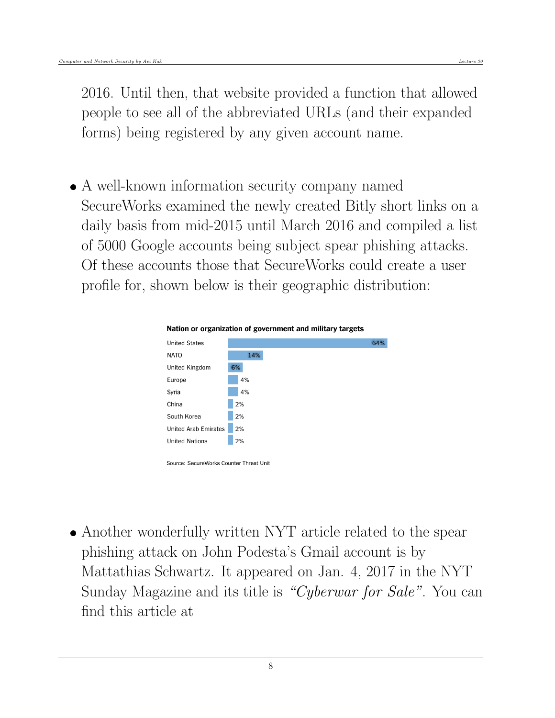2016. Until then, that website provided a function that allowed people to see all of the abbreviated URLs (and their expanded forms) being registered by any given account name.

 A well-known information security company named SecureWorks examined the newly created Bitly short links on a daily basis from mid-2015 until March 2016 and compiled a list of 5000 Google accounts being subject spear phishing attacks. Of these accounts those that SecureWorks could create a user profile for, shown below is their geographic distribution:



 Another wonderfully written NYT article related to the spear phishing attack on John Podesta's Gmail account is by Mattathias Schwartz. It appeared on Jan. 4, 2017 in the NYT Sunday Magazine and its title is "Cyberwar for Sale". You can find this article at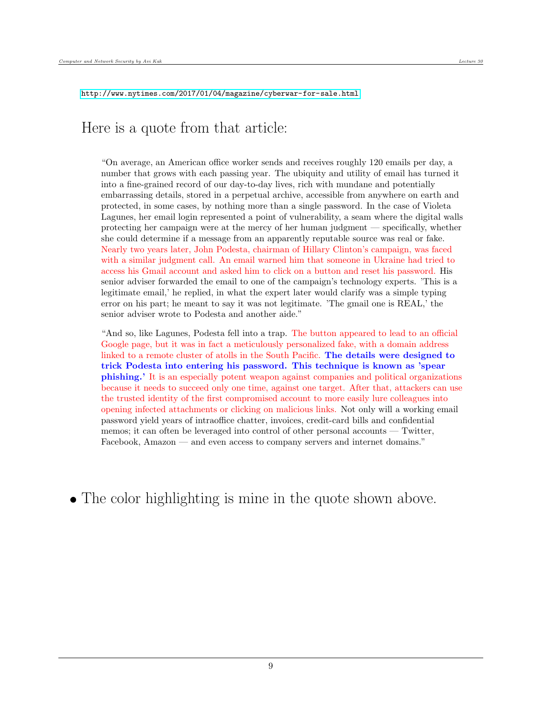<http://www.nytimes.com/2017/01/04/magazine/cyberwar-for-sale.html>

#### Here is a quote from that article:

"On average, an American office worker sends and receives roughly 120 emails per day, a number that grows with each passing year. The ubiquity and utility of email has turned it into a fine-grained record of our day-to-day lives, rich with mundane and potentially embarrassing details, stored in a perpetual archive, accessible from anywhere on earth and protected, in some cases, by nothing more than a single password. In the case of Violeta Lagunes, her email login represented a point of vulnerability, a seam where the digital walls protecting her campaign were at the mercy of her human judgment — specifically, whether she could determine if a message from an apparently reputable source was real or fake. Nearly two years later, John Podesta, chairman of Hillary Clinton's campaign, was faced with a similar judgment call. An email warned him that someone in Ukraine had tried to access his Gmail account and asked him to click on a button and reset his password. His senior adviser forwarded the email to one of the campaign's technology experts. 'This is a legitimate email,' he replied, in what the expert later would clarify was a simple typing error on his part; he meant to say it was not legitimate. 'The gmail one is REAL,' the senior adviser wrote to Podesta and another aide."

"And so, like Lagunes, Podesta fell into a trap. The button appeared to lead to an official Google page, but it was in fact a meticulously personalized fake, with a domain address linked to a remote cluster of atolls in the South Pacific. The details were designed to trick Podesta into entering his password. This technique is known as 'spear phishing.' It is an especially potent weapon against companies and political organizations because it needs to succeed only one time, against one target. After that, attackers can use the trusted identity of the first compromised account to more easily lure colleagues into opening infected attachments or clicking on malicious links. Not only will a working email password yield years of intraoffice chatter, invoices, credit-card bills and confidential memos; it can often be leveraged into control of other personal accounts — Twitter, Facebook, Amazon — and even access to company servers and internet domains."

• The color highlighting is mine in the quote shown above.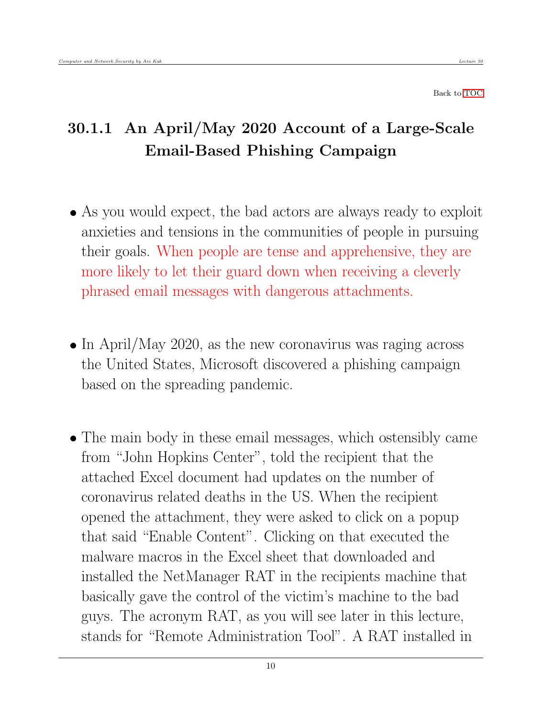#### <span id="page-9-0"></span>30.1.1 An April/May 2020 Account of a Large-Scale Email-Based Phishing Campaign

- As you would expect, the bad actors are always ready to exploit anxieties and tensions in the communities of people in pursuing their goals. When people are tense and apprehensive, they are more likely to let their guard down when receiving a cleverly phrased email messages with dangerous attachments.
- $\bullet$  In April/May 2020, as the new coronavirus was raging across the United States, Microsoft discovered a phishing campaign based on the spreading pandemic.
- The main body in these email messages, which ostensibly came from "John Hopkins Center", told the recipient that the attached Excel document had updates on the number of coronavirus related deaths in the US. When the recipient opened the attachment, they were asked to click on a popup that said "Enable Content". Clicking on that executed the malware macros in the Excel sheet that downloaded and installed the NetManager RAT in the recipients machine that basically gave the control of the victim's machine to the bad guys. The acronym RAT, as you will see later in this lecture, stands for "Remote Administration Tool". A RAT installed in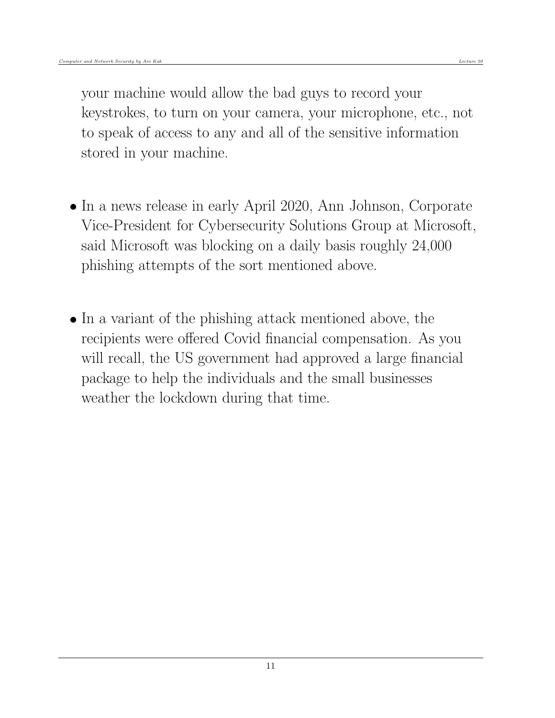your machine would allow the bad guys to record your keystrokes, to turn on your camera, your microphone, etc., not to speak of access to any and all of the sensitive information stored in your machine.

- In a news release in early April 2020, Ann Johnson, Corporate Vice-President for Cybersecurity Solutions Group at Microsoft, said Microsoft was blocking on a daily basis roughly 24,000 phishing attempts of the sort mentioned above.
- In a variant of the phishing attack mentioned above, the recipients were offered Covid financial compensation. As you will recall, the US government had approved a large financial package to help the individuals and the small businesses weather the lockdown during that time.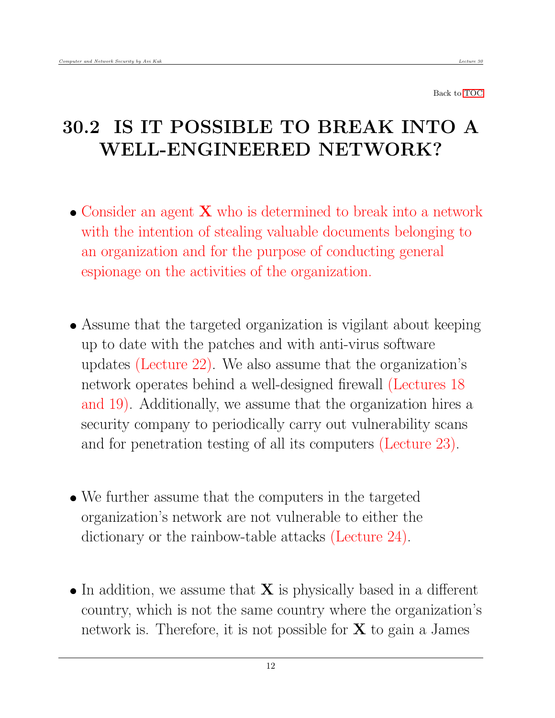# <span id="page-11-0"></span>30.2 IS IT POSSIBLE TO BREAK INTO A WELL-ENGINEERED NETWORK?

- Consider an agent  $\bf{X}$  who is determined to break into a network with the intention of stealing valuable documents belonging to an organization and for the purpose of conducting general espionage on the activities of the organization.
- Assume that the targeted organization is vigilant about keeping up to date with the patches and with anti-virus software updates (Lecture 22). We also assume that the organization's network operates behind a well-designed firewall (Lectures 18 and 19). Additionally, we assume that the organization hires a security company to periodically carry out vulnerability scans and for penetration testing of all its computers (Lecture 23).
- We further assume that the computers in the targeted organization's network are not vulnerable to either the dictionary or the rainbow-table attacks (Lecture 24).
- $\bullet$  In addition, we assume that **X** is physically based in a different country, which is not the same country where the organization's network is. Therefore, it is not possible for  $X$  to gain a James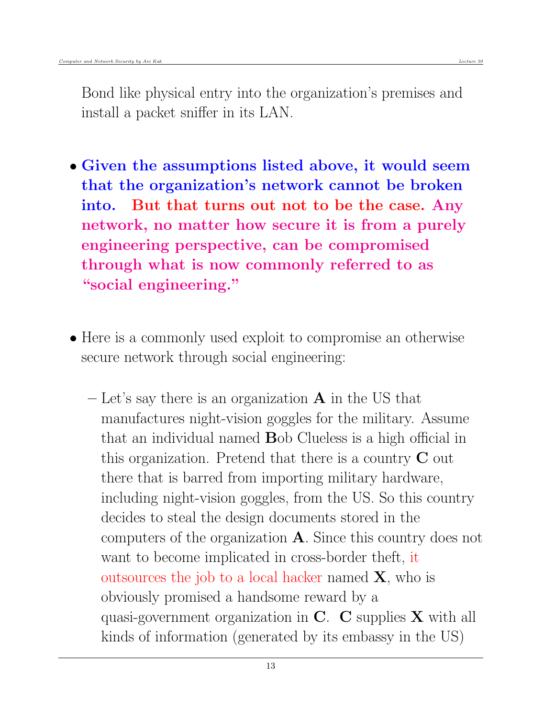Bond like physical entry into the organization's premises and install a packet sniffer in its LAN.

- Given the assumptions listed above, it would seem that the organization's network cannot be broken into. But that turns out not to be the case. Any network, no matter how secure it is from a purely engineering perspective, can be compromised through what is now commonly referred to as "social engineering."
- Here is a commonly used exploit to compromise an otherwise secure network through social engineering:
	- $\mathcal{L}$  Let's say there is an organization **A** in the US that manufactures night-vision goggles for the military. Assume that an individual named Bob Clueless is a high official in this organization. Pretend that there is a country  $C$  out there that is barred from importing military hardware, including night-vision goggles, from the US. So this country decides to steal the design documents stored in the computers of the organization A. Since this country does not want to become implicated in cross-border theft, it outsources the job to a local hacker named  $X$ , who is obviously promised a handsome reward by a quasi-government organization in  $C$ .  $C$  supplies  $X$  with all kinds of information (generated by its embassy in the US)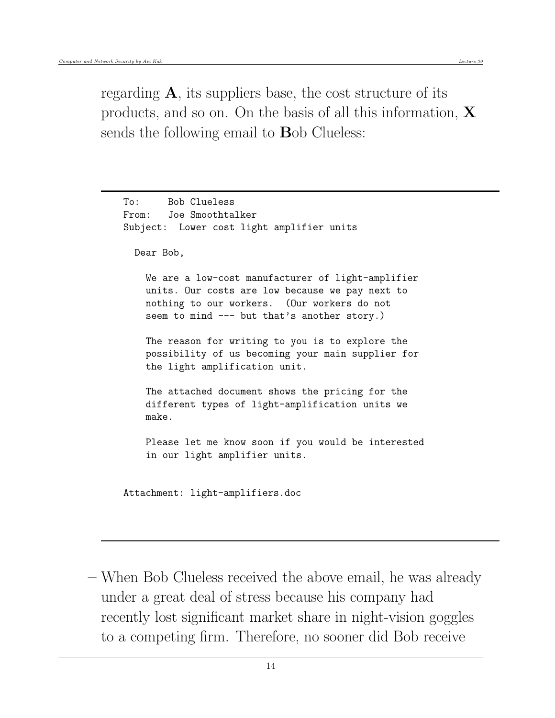regarding  $\bf{A}$ , its suppliers base, the cost structure of its products, and so on. On the basis of all this information,  $\bf{X}$ sends the following email to **B**ob Clueless:

```
To: Bob Clueless
From: Joe Smoothtalker
Subject: Lower cost light amplifier units
 Dear Bob,
    We are a low-cost manufacturer of light-amplifier
    units. Our costs are low because we pay next to
    nothing to our workers. (Our workers do not
    seem to mind --- but that's another story.)
    The reason for writing to you is to explore the
    possibility of us becoming your main supplier for
    the light amplification unit.
    The attached document shows the pricing for the
    different types of light-amplification units we
    make.
    Please let me know soon if you would be interested
    in our light amplifier units.
Attachment: light-amplifiers.doc
```
– When Bob Clueless received the above email, he was already under a great deal of stress because his company had recently lost significant market share in night-vision goggles to a competing firm. Therefore, no sooner did Bob receive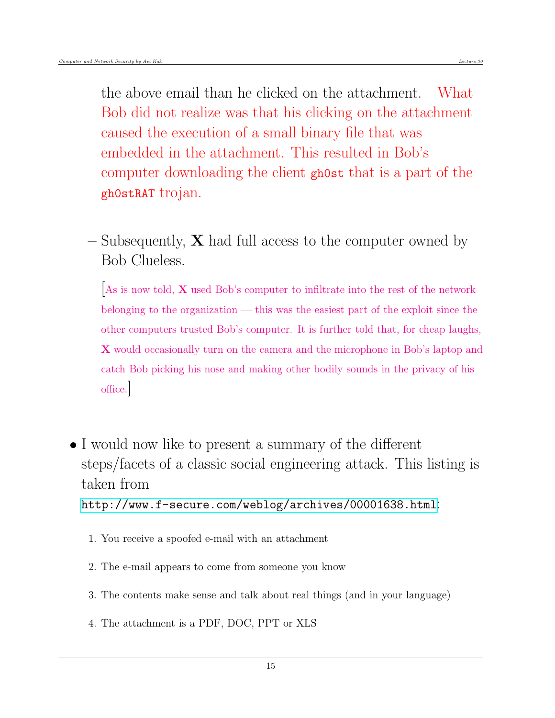the above email than he clicked on the attachment. What Bob did not realize was that his clicking on the attachment caused the execution of a small binary file that was embedded in the attachment. This resulted in Bob's computer downloading the client gh0st that is a part of the gh0stRAT trojan.

– Subsequently,  $\bf{X}$  had full access to the computer owned by Bob Clueless.

[As is now told, <sup>X</sup> used Bob's computer to infiltrate into the rest of the network belonging to the organization — this was the easiest part of the exploit since the other computers trusted Bob's computer. It is further told that, for cheap laughs, X would occasionally turn on the camera and the microphone in Bob's laptop and catch Bob picking his nose and making other bodily sounds in the privacy of his office.]

- I would now like to present a summary of the different steps/facets of a classic social engineering attack. This listing is taken from [http://www.f-secure.com/weblog/archives/00001638.html]( http://www.f-secure.com/weblog/archives/00001638.html):
	- 1. You receive a spoofed e-mail with an attachment
	- 2. The e-mail appears to come from someone you know
	- 3. The contents make sense and talk about real things (and in your language)
	- 4. The attachment is a PDF, DOC, PPT or XLS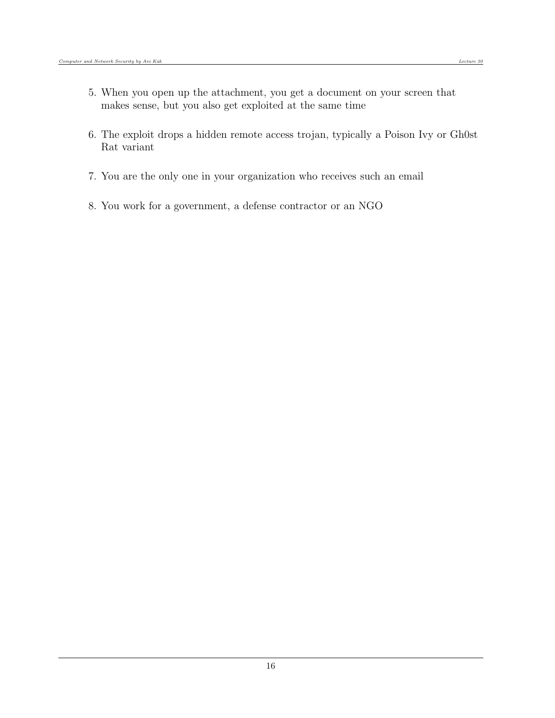- 5. When you open up the attachment, you get a document on your screen that makes sense, but you also get exploited at the same time
- 6. The exploit drops a hidden remote access trojan, typically a Poison Ivy or Gh0st Rat variant
- 7. You are the only one in your organization who receives such an email
- 8. You work for a government, a defense contractor or an NGO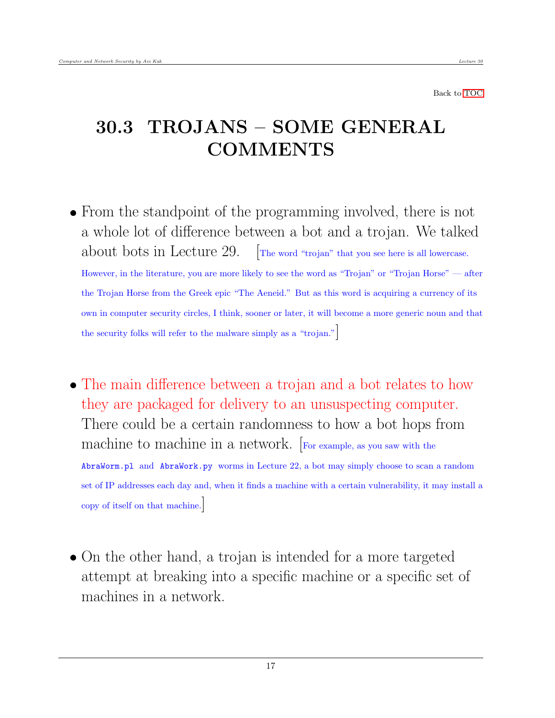#### <span id="page-16-0"></span>30.3 TROJANS – SOME GENERAL **COMMENTS**

- From the standpoint of the programming involved, there is not a whole lot of difference between a bot and a trojan. We talked about bots in Lecture 29. [The word "trojan" that you see here is all lowercase. However, in the literature, you are more likely to see the word as "Trojan" or "Trojan Horse" — after the Trojan Horse from the Greek epic "The Aeneid." But as this word is acquiring a currency of its own in computer security circles, I think, sooner or later, it will become a more generic noun and that the security folks will refer to the malware simply as a "trojan."
- The main difference between a trojan and a bot relates to how they are packaged for delivery to an unsuspecting computer. There could be a certain randomness to how a bot hops from machine to machine in a network. [For example, as you saw with the AbraWorm.pl and AbraWork.py worms in Lecture 22, a bot may simply choose to scan a random set of IP addresses each day and, when it finds a machine with a certain vulnerability, it may install a copy of itself on that machine.]
- On the other hand, a trojan is intended for a more targeted attempt at breaking into a specific machine or a specific set of machines in a network.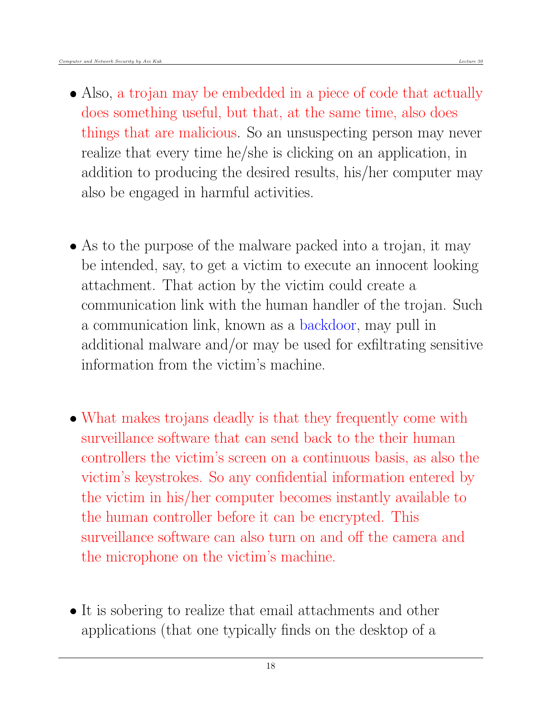- Also, a trojan may be embedded in a piece of code that actually does something useful, but that, at the same time, also does things that are malicious. So an unsuspecting person may never realize that every time he/she is clicking on an application, in addition to producing the desired results, his/her computer may also be engaged in harmful activities.
- As to the purpose of the malware packed into a trojan, it may be intended, say, to get a victim to execute an innocent looking attachment. That action by the victim could create a communication link with the human handler of the trojan. Such a communication link, known as a backdoor, may pull in additional malware and/or may be used for exfiltrating sensitive information from the victim's machine.
- What makes trojans deadly is that they frequently come with surveillance software that can send back to the their human controllers the victim's screen on a continuous basis, as also the victim's keystrokes. So any confidential information entered by the victim in his/her computer becomes instantly available to the human controller before it can be encrypted. This surveillance software can also turn on and off the camera and the microphone on the victim's machine.
- It is sobering to realize that email attachments and other applications (that one typically finds on the desktop of a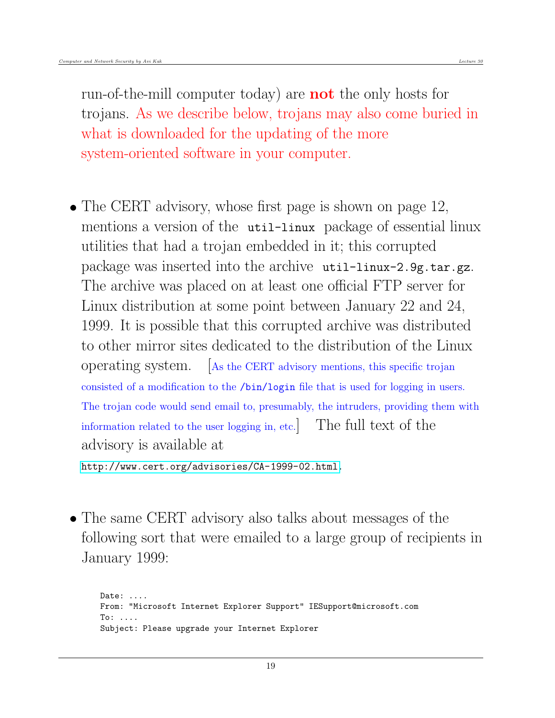run-of-the-mill computer today) are not the only hosts for trojans. As we describe below, trojans may also come buried in what is downloaded for the updating of the more system-oriented software in your computer.

• The CERT advisory, whose first page is shown on page 12, mentions a version of the util-linux package of essential linux utilities that had a trojan embedded in it; this corrupted package was inserted into the archive util-linux-2.9g.tar.gz. The archive was placed on at least one official FTP server for Linux distribution at some point between January 22 and 24, 1999. It is possible that this corrupted archive was distributed to other mirror sites dedicated to the distribution of the Linux operating system. [As the CERT advisory mentions, this specific trojan consisted of a modification to the /bin/login file that is used for logging in users. The trojan code would send email to, presumably, the intruders, providing them with information related to the user logging in, etc.] The full text of the advisory is available at

```
http://www.cert.org/advisories/CA-1999-02.html.
```
• The same CERT advisory also talks about messages of the following sort that were emailed to a large group of recipients in January 1999:

```
Date: ....
From: "Microsoft Internet Explorer Support" IESupport@microsoft.com
To: ....
Subject: Please upgrade your Internet Explorer
```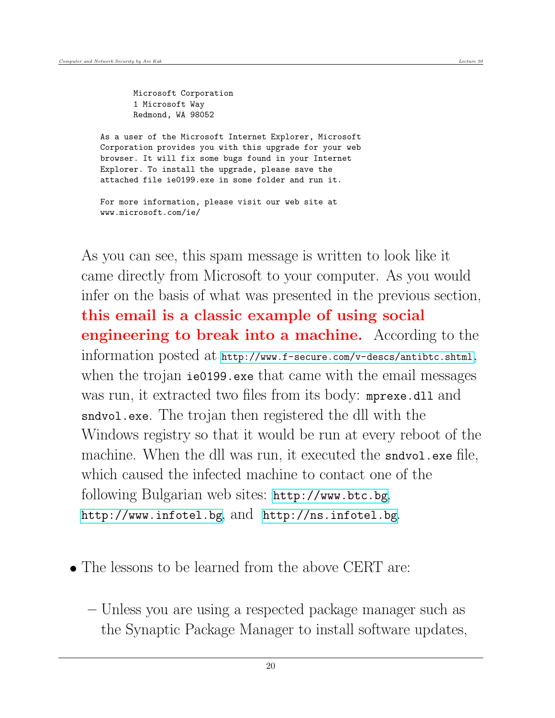Microsoft Corporation 1 Microsoft Way Redmond, WA 98052

As a user of the Microsoft Internet Explorer, Microsoft Corporation provides you with this upgrade for your web browser. It will fix some bugs found in your Internet Explorer. To install the upgrade, please save the attached file ie0199.exe in some folder and run it.

```
For more information, please visit our web site at
www.microsoft.com/ie/
```
As you can see, this spam message is written to look like it came directly from Microsoft to your computer. As you would infer on the basis of what was presented in the previous section, this email is a classic example of using social engineering to break into a machine. According to the information posted at <http://www.f-secure.com/v-descs/antibtc.shtml>, when the trojan ie0199.exe that came with the email messages was run, it extracted two files from its body: mprexe.dll and sndvol.exe. The trojan then registered the dll with the Windows registry so that it would be run at every reboot of the machine. When the dll was run, it executed the sndvol.exe file, which caused the infected machine to contact one of the following Bulgarian web sites: <http://www.btc.bg>, <http://www.infotel.bg>, and <http://ns.infotel.bg>.

- The lessons to be learned from the above CERT are:
	- Unless you are using a respected package manager such as the Synaptic Package Manager to install software updates,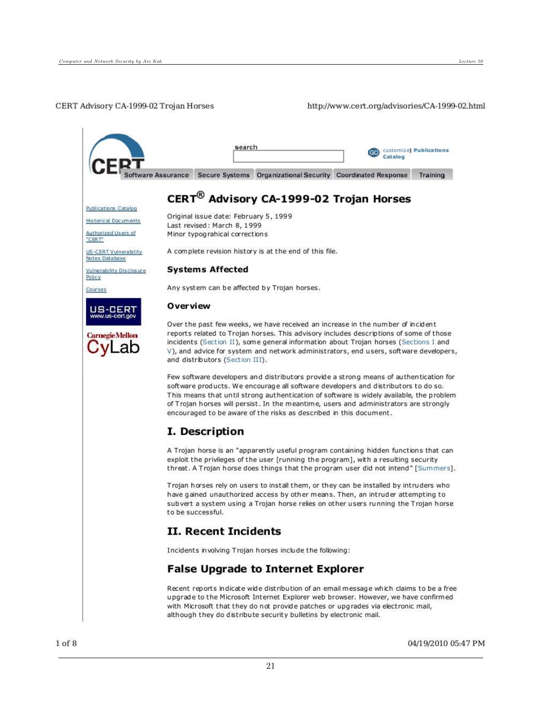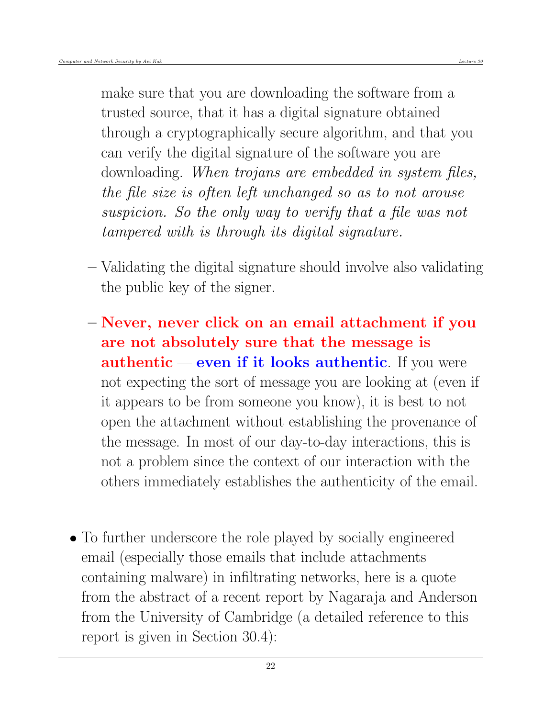make sure that you are downloading the software from a trusted source, that it has a digital signature obtained through a cryptographically secure algorithm, and that you can verify the digital signature of the software you are downloading. When trojans are embedded in system files, the file size is often left unchanged so as to not arouse suspicion. So the only way to verify that a file was not tampered with is through its digital signature.

- Validating the digital signature should involve also validating the public key of the signer.
- Never, never click on an email attachment if you are not absolutely sure that the message is  $a$ uthentic — even if it looks authentic. If you were not expecting the sort of message you are looking at (even if it appears to be from someone you know), it is best to not open the attachment without establishing the provenance of the message. In most of our day-to-day interactions, this is not a problem since the context of our interaction with the others immediately establishes the authenticity of the email.
- To further underscore the role played by socially engineered email (especially those emails that include attachments containing malware) in infiltrating networks, here is a quote from the abstract of a recent report by Nagaraja and Anderson from the University of Cambridge (a detailed reference to this report is given in Section 30.4):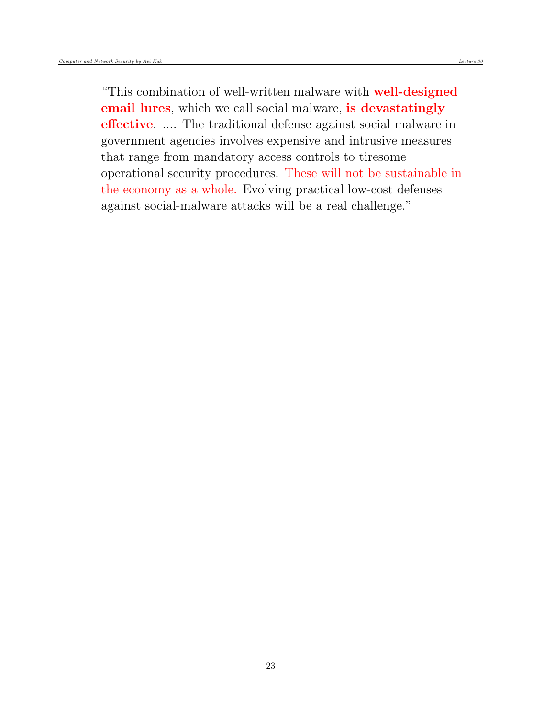"This combination of well-written malware with well-designed email lures, which we call social malware, is devastatingly effective. .... The traditional defense against social malware in government agencies involves expensive and intrusive measures that range from mandatory access controls to tiresome operational security procedures. These will not be sustainable in the economy as a whole. Evolving practical low-cost defenses against social-malware attacks will be a real challenge."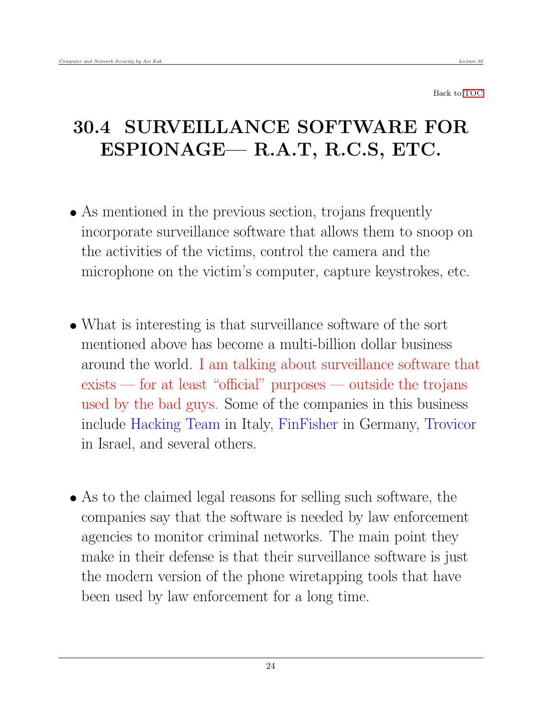# <span id="page-23-0"></span>30.4 SURVEILLANCE SOFTWARE FOR ESPIONAGE— R.A.T, R.C.S, ETC.

- As mentioned in the previous section, trojans frequently incorporate surveillance software that allows them to snoop on the activities of the victims, control the camera and the microphone on the victim's computer, capture keystrokes, etc.
- What is interesting is that surveillance software of the sort mentioned above has become a multi-billion dollar business around the world. I am talking about surveillance software that exists — for at least "official" purposes — outside the trojans used by the bad guys. Some of the companies in this business include Hacking Team in Italy, FinFisher in Germany, Trovicor in Israel, and several others.
- As to the claimed legal reasons for selling such software, the companies say that the software is needed by law enforcement agencies to monitor criminal networks. The main point they make in their defense is that their surveillance software is just the modern version of the phone wiretapping tools that have been used by law enforcement for a long time.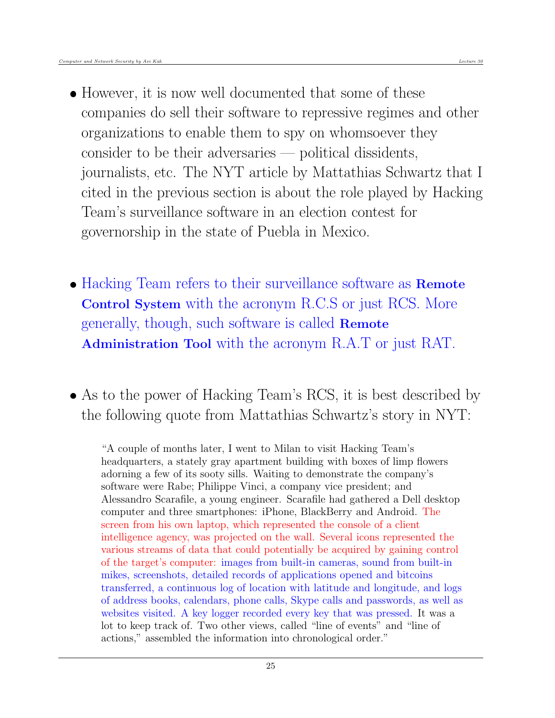- However, it is now well documented that some of these companies do sell their software to repressive regimes and other organizations to enable them to spy on whomsoever they consider to be their adversaries — political dissidents, journalists, etc. The NYT article by Mattathias Schwartz that I cited in the previous section is about the role played by Hacking Team's surveillance software in an election contest for governorship in the state of Puebla in Mexico.
- Hacking Team refers to their surveillance software as **Remote** Control System with the acronym R.C.S or just RCS. More generally, though, such software is called Remote Administration Tool with the acronym R.A.T or just RAT.
- As to the power of Hacking Team's RCS, it is best described by the following quote from Mattathias Schwartz's story in NYT:

"A couple of months later, I went to Milan to visit Hacking Team's headquarters, a stately gray apartment building with boxes of limp flowers adorning a few of its sooty sills. Waiting to demonstrate the company's software were Rabe; Philippe Vinci, a company vice president; and Alessandro Scarafile, a young engineer. Scarafile had gathered a Dell desktop computer and three smartphones: iPhone, BlackBerry and Android. The screen from his own laptop, which represented the console of a client intelligence agency, was projected on the wall. Several icons represented the various streams of data that could potentially be acquired by gaining control of the target's computer: images from built-in cameras, sound from built-in mikes, screenshots, detailed records of applications opened and bitcoins transferred, a continuous log of location with latitude and longitude, and logs of address books, calendars, phone calls, Skype calls and passwords, as well as websites visited. A key logger recorded every key that was pressed. It was a lot to keep track of. Two other views, called "line of events" and "line of actions," assembled the information into chronological order."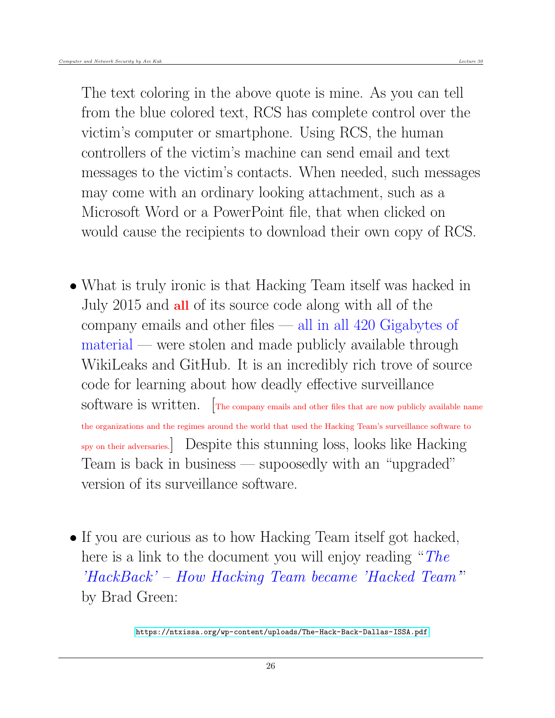The text coloring in the above quote is mine. As you can tell from the blue colored text, RCS has complete control over the victim's computer or smartphone. Using RCS, the human controllers of the victim's machine can send email and text messages to the victim's contacts. When needed, such messages may come with an ordinary looking attachment, such as a Microsoft Word or a PowerPoint file, that when clicked on would cause the recipients to download their own copy of RCS.

- What is truly ironic is that Hacking Team itself was hacked in July 2015 and all of its source code along with all of the company emails and other files — all in all 420 Gigabytes of material — were stolen and made publicly available through WikiLeaks and GitHub. It is an incredibly rich trove of source code for learning about how deadly effective surveillance software is written. The company emails and other files that are now publicly available name the organizations and the regimes around the world that used the Hacking Team's surveillance software to spy on their adversaries.] Despite this stunning loss, looks like Hacking Team is back in business — supoosedly with an "upgraded" version of its surveillance software.
- If you are curious as to how Hacking Team itself got hacked, here is a link to the document you will enjoy reading "The 'HackBack' – How Hacking Team became 'Hacked Team'" by Brad Green:

<https://ntxissa.org/wp-content/uploads/The-Hack-Back-Dallas-ISSA.pdf>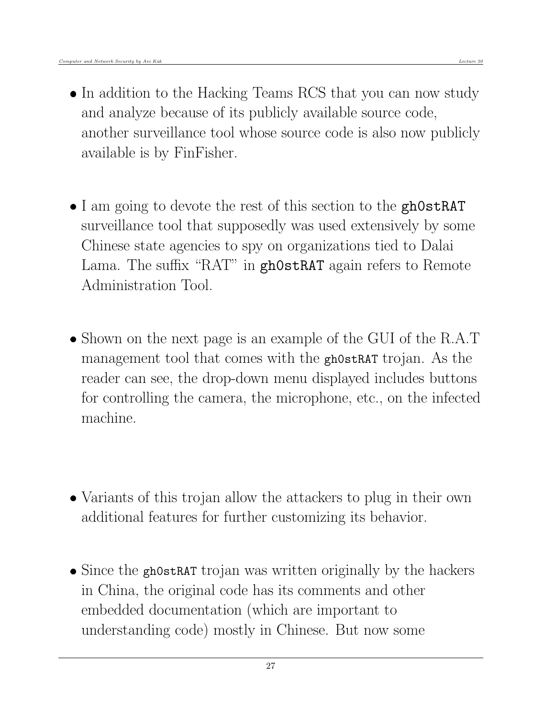- In addition to the Hacking Teams RCS that you can now study and analyze because of its publicly available source code, another surveillance tool whose source code is also now publicly available is by FinFisher.
- I am going to devote the rest of this section to the gh0stRAT surveillance tool that supposedly was used extensively by some Chinese state agencies to spy on organizations tied to Dalai Lama. The suffix "RAT" in gh0stRAT again refers to Remote Administration Tool.
- Shown on the next page is an example of the GUI of the R.A.T management tool that comes with the gh0stRAT trojan. As the reader can see, the drop-down menu displayed includes buttons for controlling the camera, the microphone, etc., on the infected machine.
- Variants of this trojan allow the attackers to plug in their own additional features for further customizing its behavior.
- Since the ghost RAT trojan was written originally by the hackers in China, the original code has its comments and other embedded documentation (which are important to understanding code) mostly in Chinese. But now some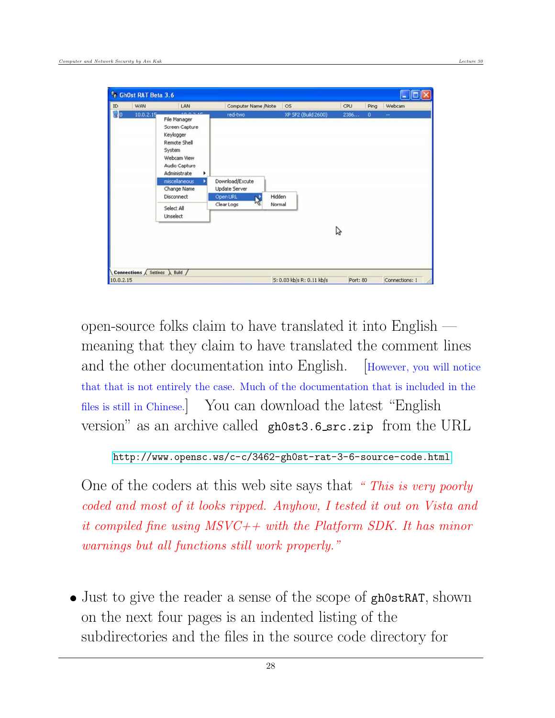|              | <b>&amp; GhOst RAT Beta 3.6</b> |                                                                                                                                         |                                                                                             |                           |          |      | $\Box$ el      |
|--------------|---------------------------------|-----------------------------------------------------------------------------------------------------------------------------------------|---------------------------------------------------------------------------------------------|---------------------------|----------|------|----------------|
| ID           | WAN                             | LAN                                                                                                                                     | Computer Name /Note                                                                         | OS.                       | CPU      | Ping | Webcam         |
| $\mathbf{a}$ | 10.0.2.15                       | 10-0-0-15<br>File Manager<br>Screen Capture<br>Keylogger<br>Remote Shell<br>System<br>Webcam View<br>Audio Capture<br>Administrate<br>٠ | red-two                                                                                     | XP SP2 (Build 2600)       | 2386     | O.   | ÷              |
|              |                                 | miscellaneous<br>Change Name<br>Disconnect                                                                                              | Download/Excute<br><b>Update Server</b><br>Hidden<br>Open LIRL<br>Ķ<br>Clear Logs<br>Normal |                           |          |      |                |
|              |                                 | Select All<br>Unselect                                                                                                                  |                                                                                             |                           | ひ        |      |                |
|              |                                 | Connections $\overline{\wedge}$ Settings $\overline{\wedge}$ Build /                                                                    |                                                                                             |                           |          |      |                |
| 10.0.2.15    |                                 |                                                                                                                                         |                                                                                             | 5: 0.03 kb/s R: 0.11 kb/s | Port: 80 |      | Connections: 1 |

open-source folks claim to have translated it into English meaning that they claim to have translated the comment lines and the other documentation into English. [However, you will notice that that is not entirely the case. Much of the documentation that is included in the files is still in Chinese.] You can download the latest "English version" as an archive called gh0st3.6 src.zip from the URL

```
http://www.opensc.ws/c-c/3462-gh0st-rat-3-6-source-code.html
```
One of the coders at this web site says that "This is very poorly coded and most of it looks ripped. Anyhow, I tested it out on Vista and it compiled fine using  $MSVC++$  with the Platform SDK. It has minor warnings but all functions still work properly."

 Just to give the reader a sense of the scope of gh0stRAT, shown on the next four pages is an indented listing of the subdirectories and the files in the source code directory for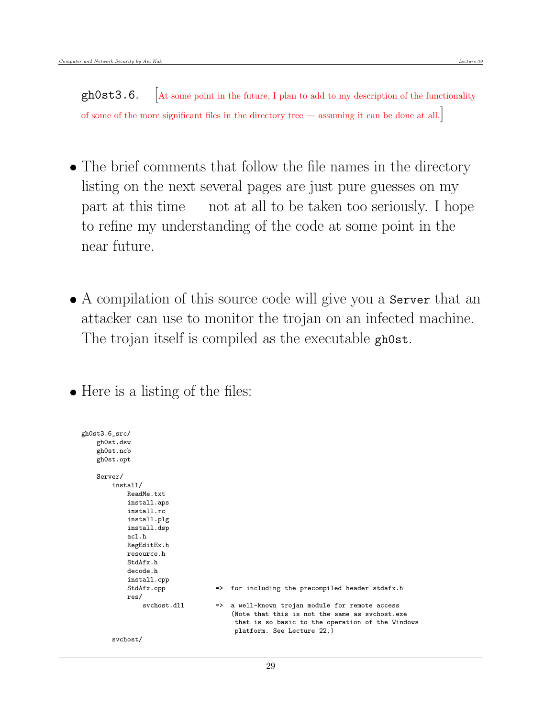$gh0st3.6.$  At some point in the future, I plan to add to my description of the functionality of some of the more significant files in the directory tree — assuming it can be done at all.]

- The brief comments that follow the file names in the directory listing on the next several pages are just pure guesses on my part at this time — not at all to be taken too seriously. I hope to refine my understanding of the code at some point in the near future.
- A compilation of this source code will give you a Server that an attacker can use to monitor the trojan on an infected machine. The trojan itself is compiled as the executable ghost.
- Here is a listing of the files:

```
gh0st3.6_src/
   gh0st.dsw
   gh0st.ncb
   gh0st.opt
   Server/
       install/
           ReadMe.txt
           install.aps
           install.rc
           install.plg
           install.dsp
           acl.h
           RegEditEx.h
           resource.h
           StdAfx.h
           decode.h
           install.cpp
           StdAfx.cpp => for including the precompiled header stdafx.h
           res/
               svchost.dll => a well-known trojan module for remote access
                                      (Note that this is not the same as svchost.exe
                                      that is so basic to the operation of the Windows
                                      platform. See Lecture 22.)
       svchost/
```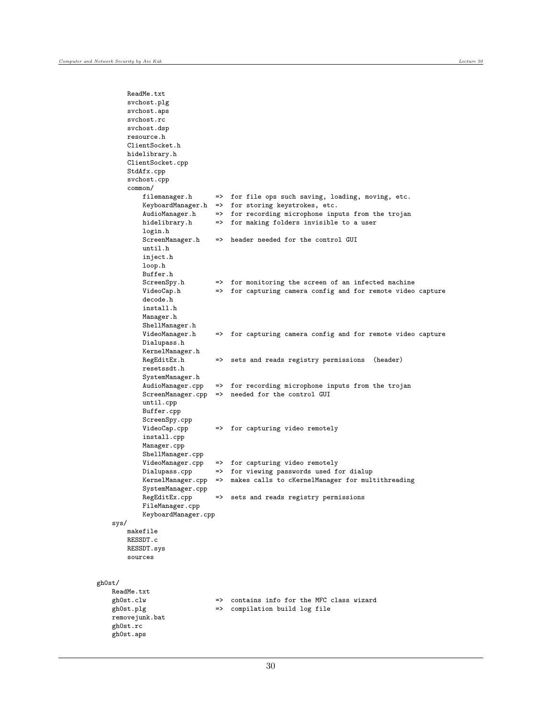ReadMe.txt

```
svchost.plg
        svchost.aps
        svchost.rc
       svchost.dsp
       resource.h
       ClientSocket.h
       hidelibrary.h
       ClientSocket.cpp
       StdAfx.cpp
        svchost.cpp
        common/
            filemanager.h => for file ops such saving, loading, moving, etc.
            KeyboardManager.h => for storing keystrokes, etc.
            AudioManager.h => for recording microphone inputs from the trojan
            hidelibrary.h => for making folders invisible to a user
            login.h<br>ScreenManager.h
                             => header needed for the control GUI
            until.h
           inject.h
            loop.h
            Buffer.h
            ScreenSpy.h => for monitoring the screen of an infected machine
            VideoCap.h => for capturing camera config and for remote video capture
            decode.h
            install.h
            Manager.h
            ShellManager.h
            VideoManager.h => for capturing camera config and for remote video capture
            Dialupass.h
            KernelManager.h<br>RegEditEx.h
                               => sets and reads registry permissions (header)
            resetssdt.h
            SystemManager.h
            AudioManager.cpp => for recording microphone inputs from the trojan
            ScreenManager.cpp => needed for the control GUI
            until.cpp
            Buffer.cpp
            ScreenSpy.cpp<br>VideoCap.cpp
                               \Rightarrow for capturing video remotely
            install.cpp
            Manager.cpp
            ShellManager.cpp
                               \Rightarrow for capturing video remotely
            Dialupass.cpp => for viewing passwords used for dialup
            KernelManager.cpp => makes calls to cKernelManager for multithreading
            SystemManager.cpp
            RegEditEx.cpp => sets and reads registry permissions
            FileManager.cpp
            KeyboardManager.cpp
    sys/
        makefile
       RESSDT.c
       RESSDT.sys
        sources
gh0st/
   ReadMe.txt
   gh0st.clw => contains info for the MFC class wizard<br>gh0st.plg => compilation build log file
                               => compilation build log file
   removejunk.bat
   gh0st.rc
   gh0st.aps
```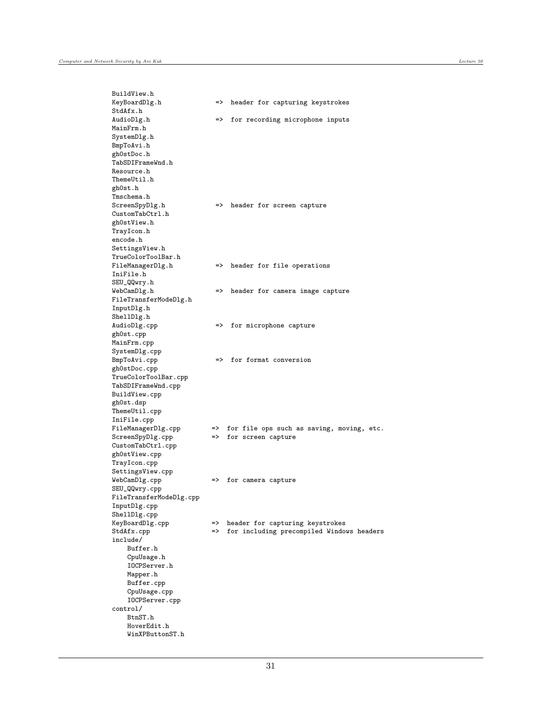| BuildView.h                   |               |                                              |
|-------------------------------|---------------|----------------------------------------------|
| KeyBoardDlg.h                 |               | => header for capturing keystrokes           |
| StdAfx.h                      |               |                                              |
| AudioDlg.h<br>MainFrm.h       |               | => for recording microphone inputs           |
| SystemDlg.h                   |               |                                              |
| BmpToAvi.h                    |               |                                              |
| gh0stDoc.h                    |               |                                              |
| TabSDIFrameWnd.h              |               |                                              |
| Resource.h                    |               |                                              |
| ThemeUtil.h                   |               |                                              |
| gh0st.h                       |               |                                              |
| Tmschema.h                    |               |                                              |
| ScreenSpyDlg.h                |               | => header for screen capture                 |
| CustomTabCtrl.h               |               |                                              |
| gh0stView.h                   |               |                                              |
| TrayIcon.h                    |               |                                              |
| encode.h                      |               |                                              |
| SettingsView.h                |               |                                              |
| TrueColorToolBar.h            |               | => header for file operations                |
| FileManagerDlg.h<br>IniFile.h |               |                                              |
| SEU_QQwry.h                   |               |                                              |
| WebCamDlg.h                   |               | => header for camera image capture           |
| FileTransferModeDlg.h         |               |                                              |
| InputDlg.h                    |               |                                              |
| ShellDlg.h                    |               |                                              |
| AudioDlg.cpp                  |               | => for microphone capture                    |
| gh0st.cpp                     |               |                                              |
| MainFrm.cpp                   |               |                                              |
| SystemDlg.cpp                 |               |                                              |
| BmpToAvi.cpp                  |               | => for format conversion                     |
| gh0stDoc.cpp                  |               |                                              |
| TrueColorToolBar.cpp          |               |                                              |
| TabSDIFrameWnd.cpp            |               |                                              |
| BuildView.cpp                 |               |                                              |
| gh0st.dsp                     |               |                                              |
| ThemeUtil.cpp<br>IniFile.cpp  |               |                                              |
| FileManagerDlg.cpp            |               | => for file ops such as saving, moving, etc. |
| ScreenSpyDlg.cpp              |               | => for screen capture                        |
| CustomTabCtrl.cpp             |               |                                              |
| gh0stView.cpp                 |               |                                              |
| TrayIcon.cpp                  |               |                                              |
| SettingsView.cpp              |               |                                              |
| WebCamDlg.cpp                 |               | => for camera capture                        |
| SEU_QQwry.cpp                 |               |                                              |
| FileTransferModeDlg.cpp       |               |                                              |
| InputDlg.cpp                  |               |                                              |
| ShellDlg.cpp                  |               |                                              |
| KeyBoardDlg.cpp               | $\Rightarrow$ | header for capturing keystrokes              |
| StdAfx.cpp<br>include/        | $\Rightarrow$ | for including precompiled Windows headers    |
| Buffer.h                      |               |                                              |
| CpuUsage.h                    |               |                                              |
| IOCPServer.h                  |               |                                              |
| Mapper.h                      |               |                                              |
| Buffer.cpp                    |               |                                              |
| CpuUsage.cpp                  |               |                                              |
| IOCPServer.cpp                |               |                                              |
| control/                      |               |                                              |
| BtnST.h                       |               |                                              |
| HoverEdit.h                   |               |                                              |
| WinXPButtonST.h               |               |                                              |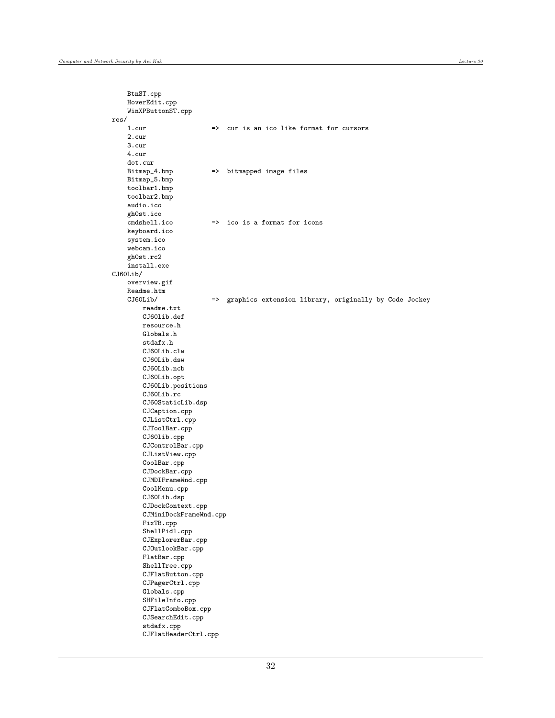| BtnST.cpp                             |                                                          |
|---------------------------------------|----------------------------------------------------------|
| HoverEdit.cpp                         |                                                          |
| WinXPButtonST.cpp<br>res/             |                                                          |
| 1.cur                                 | => cur is an ico like format for cursors                 |
| $2. cur$                              |                                                          |
| 3.cur                                 |                                                          |
| 4.cur                                 |                                                          |
| dot.cur                               |                                                          |
| Bitmap_4.bmp                          | => bitmapped image files                                 |
| Bitmap_5.bmp                          |                                                          |
| toolbar1.bmp                          |                                                          |
| toolbar2.bmp                          |                                                          |
| audio.ico                             |                                                          |
| gh0st.ico<br>cmdshell.ico             | $\Rightarrow$ ico is a format for icons                  |
| keyboard.ico                          |                                                          |
| system.ico                            |                                                          |
| webcam.ico                            |                                                          |
| gh0st.rc2                             |                                                          |
| install.exe                           |                                                          |
| CJ60Lib/                              |                                                          |
| overview.gif                          |                                                          |
| Readme.htm                            |                                                          |
| CJ60Lib/                              | => graphics extension library, originally by Code Jockey |
| readme.txt                            |                                                          |
| CJ60lib.def                           |                                                          |
| resource.h                            |                                                          |
| Globals.h                             |                                                          |
| stdafx.h<br>CJ60Lib.clw               |                                                          |
| CJ60Lib.dsw                           |                                                          |
| CJ60Lib.ncb                           |                                                          |
| CJ60Lib.opt                           |                                                          |
| CJ60Lib.positions                     |                                                          |
| CJ60Lib.rc                            |                                                          |
| CJ60StaticLib.dsp                     |                                                          |
| CJCaption.cpp                         |                                                          |
| CJListCtrl.cpp                        |                                                          |
| CJToolBar.cpp                         |                                                          |
| CJ60lib.cpp                           |                                                          |
| CJControlBar.cpp                      |                                                          |
| CJListView.cpp                        |                                                          |
| CoolBar.cpp                           |                                                          |
| CJDockBar.cpp                         |                                                          |
| CJMDIFrameWnd.cpp<br>CoolMenu.cpp     |                                                          |
| CJ60Lib.dsp                           |                                                          |
| $\texttt{CJDockContext}.\texttt{cpp}$ |                                                          |
| CJMiniDockFrameWnd.cpp                |                                                          |
| FixTB.cpp                             |                                                          |
| ShellPidl.cpp                         |                                                          |
| CJExplorerBar.cpp                     |                                                          |
| CJOutlookBar.cpp                      |                                                          |
| FlatBar.cpp                           |                                                          |
| ShellTree.cpp                         |                                                          |
| CJFlatButton.cpp                      |                                                          |
| CJPagerCtrl.cpp                       |                                                          |
| Globals.cpp                           |                                                          |
| SHFileInfo.cpp                        |                                                          |
| CJFlatComboBox.cpp                    |                                                          |
| CJSearchEdit.cpp                      |                                                          |
| stdafx.cpp<br>CJFlatHeaderCtrl.cpp    |                                                          |
|                                       |                                                          |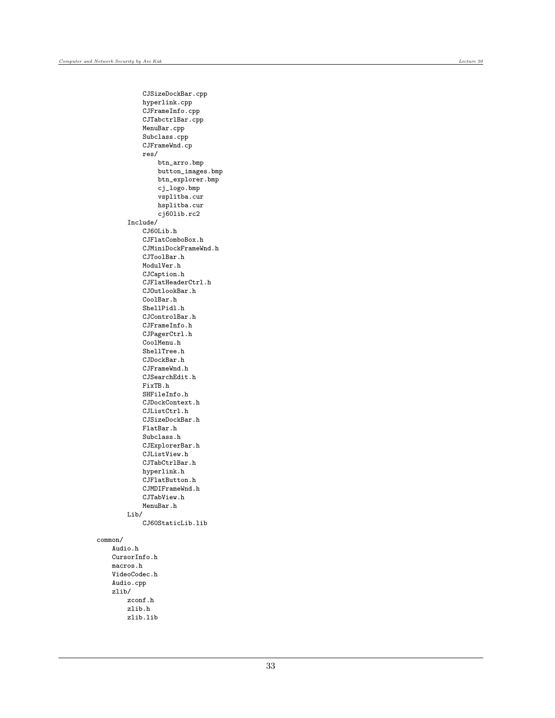```
CJSizeDockBar.cpp
            hyperlink.cpp
            CJFrameInfo.cpp
            CJTabctrlBar.cpp
            MenuBar.cpp
            Subclass.cpp
            CJFrameWnd.cp
            res/
                btn_arro.bmp
                button_images.bmp
                btn_explorer.bmp
                cj_logo.bmp
                vsplitba.cur
                hsplitba.cur
                cj60lib.rc2
        Include/
            CJ60Lib.h
            CJFlatComboBox.h
            CJMiniDockFrameWnd.h
            CJToolBar.h
            ModulVer.h
            CJCaption.h
            CJFlatHeaderCtrl.h
            CJOutlookBar.h
            CoolBar.h
            ShellPidl.h
            CJControlBar.h
            CJFrameInfo.h
            CJPagerCtrl.h
            CoolMenu.h
            ShellTree.h
            CJDockBar.h
            CJFrameWnd.h
           CJSearchEdit.h
            FixTB.h
            SHFileInfo.h
            CJDockContext.h
            CJListCtrl.h
            CJSizeDockBar.h
            FlatBar.h
            Subclass.h
            CJExplorerBar.h
            CJListView.h
            CJTabCtrlBar.h
            hyperlink.h
            CJFlatButton.h
            CJMDIFrameWnd.h
            CJTabView.h
           MenuBar.h
       Lib/
            CJ60StaticLib.lib
common/
   Audio.h
   CursorInfo.h
   macros.h
   VideoCodec.h
   Audio.cpp
   zlib/
       zconf.h
```
zlib.h zlib.lib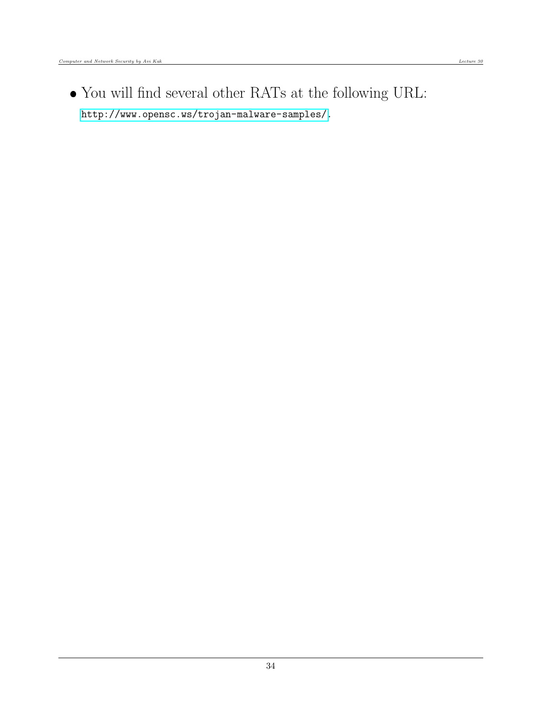You will find several other RATs at the following URL: <http://www.opensc.ws/trojan-malware-samples/>.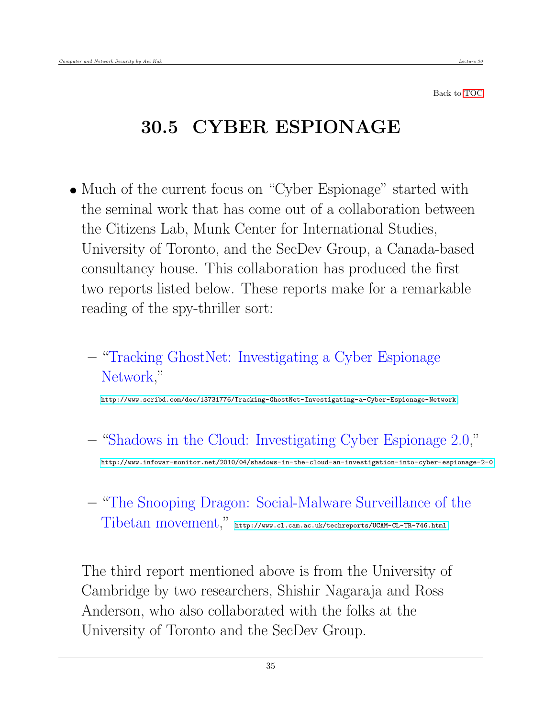## <span id="page-34-0"></span>30.5 CYBER ESPIONAGE

• Much of the current focus on "Cyber Espionage" started with the seminal work that has come out of a collaboration between the Citizens Lab, Munk Center for International Studies, University of Toronto, and the SecDev Group, a Canada-based consultancy house. This collaboration has produced the first two reports listed below. These reports make for a remarkable reading of the spy-thriller sort:

#### – "Tracking GhostNet: Investigating a Cyber Espionage Network,"

<http://www.scribd.com/doc/13731776/Tracking-GhostNet-Investigating-a-Cyber-Espionage-Network>

- "Shadows in the Cloud: Investigating Cyber Espionage 2.0," <http://www.infowar-monitor.net/2010/04/shadows-in-the-cloud-an-investigation-into-cyber-espionage-2-0>
- "The Snooping Dragon: Social-Malware Surveillance of the Tibetan movement," <http://www.cl.cam.ac.uk/techreports/UCAM-CL-TR-746.html>

The third report mentioned above is from the University of Cambridge by two researchers, Shishir Nagaraja and Ross Anderson, who also collaborated with the folks at the University of Toronto and the SecDev Group.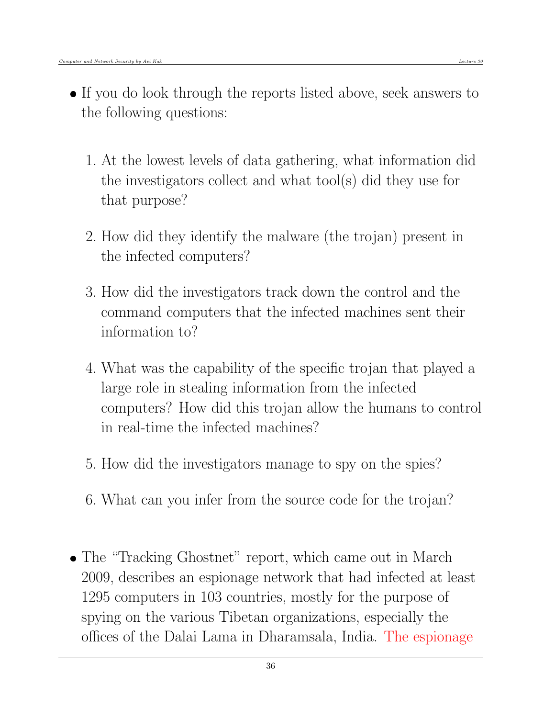- If you do look through the reports listed above, seek answers to the following questions:
	- 1. At the lowest levels of data gathering, what information did the investigators collect and what tool(s) did they use for that purpose?
	- 2. How did they identify the malware (the trojan) present in the infected computers?
	- 3. How did the investigators track down the control and the command computers that the infected machines sent their information to?
	- 4. What was the capability of the specific trojan that played a large role in stealing information from the infected computers? How did this trojan allow the humans to control in real-time the infected machines?
	- 5. How did the investigators manage to spy on the spies?
	- 6. What can you infer from the source code for the trojan?
- The "Tracking Ghostnet" report, which came out in March 2009, describes an espionage network that had infected at least 1295 computers in 103 countries, mostly for the purpose of spying on the various Tibetan organizations, especially the offices of the Dalai Lama in Dharamsala, India. The espionage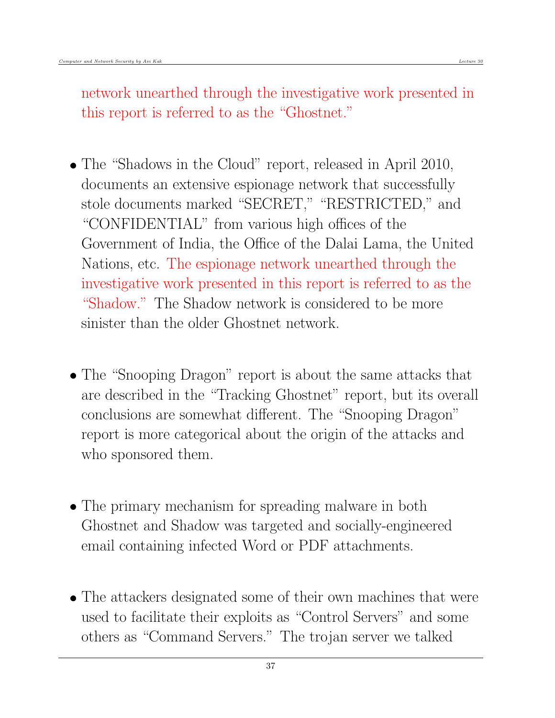network unearthed through the investigative work presented in this report is referred to as the "Ghostnet."

- The "Shadows in the Cloud" report, released in April 2010, documents an extensive espionage network that successfully stole documents marked "SECRET," "RESTRICTED," and "CONFIDENTIAL" from various high offices of the Government of India, the Office of the Dalai Lama, the United Nations, etc. The espionage network unearthed through the investigative work presented in this report is referred to as the "Shadow." The Shadow network is considered to be more sinister than the older Ghostnet network.
- The "Snooping Dragon" report is about the same attacks that are described in the "Tracking Ghostnet" report, but its overall conclusions are somewhat different. The "Snooping Dragon" report is more categorical about the origin of the attacks and who sponsored them.
- The primary mechanism for spreading malware in both Ghostnet and Shadow was targeted and socially-engineered email containing infected Word or PDF attachments.
- The attackers designated some of their own machines that were used to facilitate their exploits as "Control Servers" and some others as "Command Servers." The trojan server we talked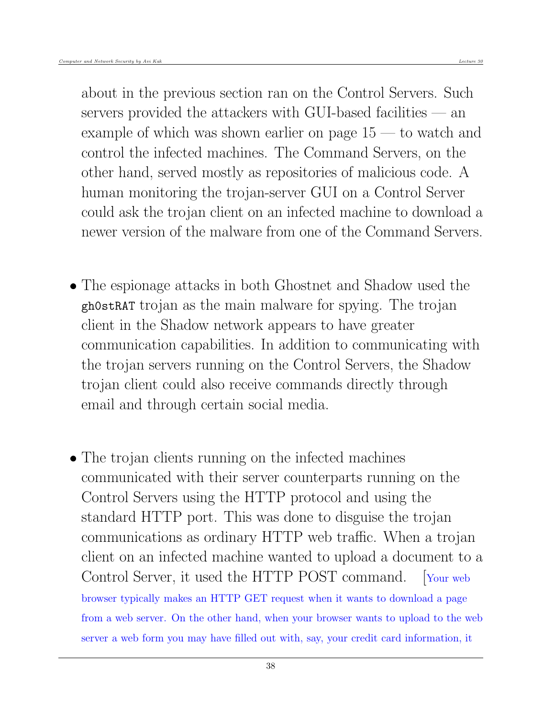about in the previous section ran on the Control Servers. Such servers provided the attackers with GUI-based facilities — an example of which was shown earlier on page 15 — to watch and control the infected machines. The Command Servers, on the other hand, served mostly as repositories of malicious code. A human monitoring the trojan-server GUI on a Control Server could ask the trojan client on an infected machine to download a newer version of the malware from one of the Command Servers.

- The espionage attacks in both Ghostnet and Shadow used the gh0stRAT trojan as the main malware for spying. The trojan client in the Shadow network appears to have greater communication capabilities. In addition to communicating with the trojan servers running on the Control Servers, the Shadow trojan client could also receive commands directly through email and through certain social media.
- The trojan clients running on the infected machines communicated with their server counterparts running on the Control Servers using the HTTP protocol and using the standard HTTP port. This was done to disguise the trojan communications as ordinary HTTP web traffic. When a trojan client on an infected machine wanted to upload a document to a Control Server, it used the HTTP POST command. [Your web] browser typically makes an HTTP GET request when it wants to download a page from a web server. On the other hand, when your browser wants to upload to the web server a web form you may have filled out with, say, your credit card information, it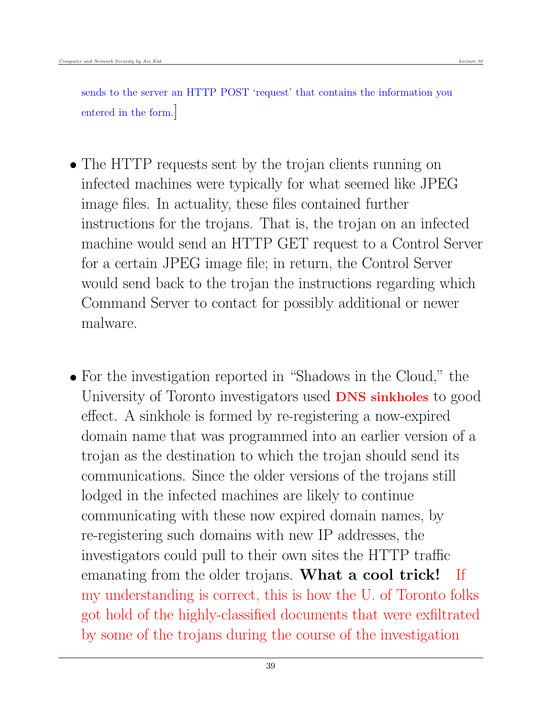sends to the server an HTTP POST 'request' that contains the information you entered in the form.]

- The HTTP requests sent by the trojan clients running on infected machines were typically for what seemed like JPEG image files. In actuality, these files contained further instructions for the trojans. That is, the trojan on an infected machine would send an HTTP GET request to a Control Server for a certain JPEG image file; in return, the Control Server would send back to the trojan the instructions regarding which Command Server to contact for possibly additional or newer malware.
- For the investigation reported in "Shadows in the Cloud," the University of Toronto investigators used **DNS** sinkholes to good effect. A sinkhole is formed by re-registering a now-expired domain name that was programmed into an earlier version of a trojan as the destination to which the trojan should send its communications. Since the older versions of the trojans still lodged in the infected machines are likely to continue communicating with these now expired domain names, by re-registering such domains with new IP addresses, the investigators could pull to their own sites the HTTP traffic emanating from the older trojans. What a cool trick! If my understanding is correct, this is how the U. of Toronto folks got hold of the highly-classified documents that were exfiltrated by some of the trojans during the course of the investigation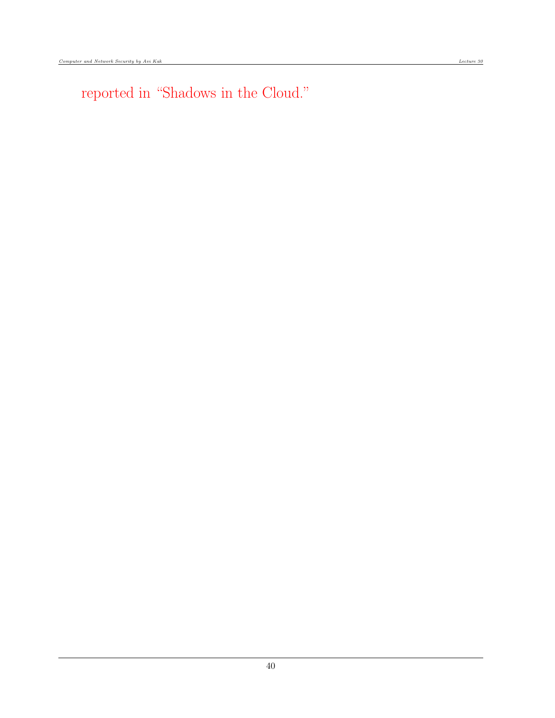reported in "Shadows in the Cloud."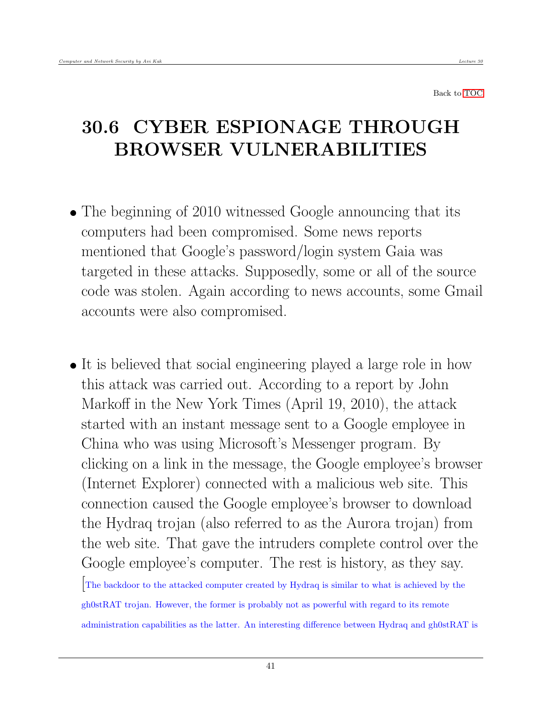## <span id="page-40-0"></span>30.6 CYBER ESPIONAGE THROUGH BROWSER VULNERABILITIES

- The beginning of 2010 witnessed Google announcing that its computers had been compromised. Some news reports mentioned that Google's password/login system Gaia was targeted in these attacks. Supposedly, some or all of the source code was stolen. Again according to news accounts, some Gmail accounts were also compromised.
- It is believed that social engineering played a large role in how this attack was carried out. According to a report by John Markoff in the New York Times (April 19, 2010), the attack started with an instant message sent to a Google employee in China who was using Microsoft's Messenger program. By clicking on a link in the message, the Google employee's browser (Internet Explorer) connected with a malicious web site. This connection caused the Google employee's browser to download the Hydraq trojan (also referred to as the Aurora trojan) from the web site. That gave the intruders complete control over the Google employee's computer. The rest is history, as they say. [The backdoor to the attacked computer created by Hydraq is similar to what is achieved by the

gh0stRAT trojan. However, the former is probably not as powerful with regard to its remote administration capabilities as the latter. An interesting difference between Hydraq and gh0stRAT is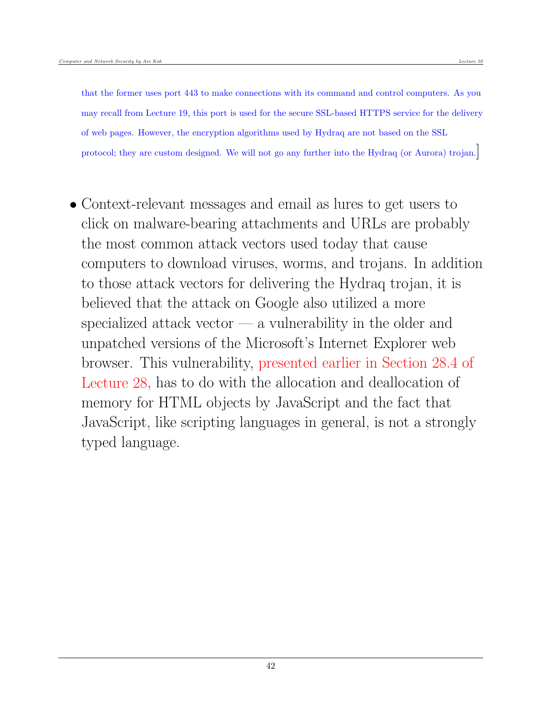that the former uses port 443 to make connections with its command and control computers. As you may recall from Lecture 19, this port is used for the secure SSL-based HTTPS service for the delivery of web pages. However, the encryption algorithms used by Hydraq are not based on the SSL protocol; they are custom designed. We will not go any further into the Hydraq (or Aurora) trojan.]

 Context-relevant messages and email as lures to get users to click on malware-bearing attachments and URLs are probably the most common attack vectors used today that cause computers to download viruses, worms, and trojans. In addition to those attack vectors for delivering the Hydraq trojan, it is believed that the attack on Google also utilized a more specialized attack vector — a vulnerability in the older and unpatched versions of the Microsoft's Internet Explorer web browser. This vulnerability, presented earlier in Section 28.4 of Lecture 28, has to do with the allocation and deallocation of memory for HTML objects by JavaScript and the fact that JavaScript, like scripting languages in general, is not a strongly typed language.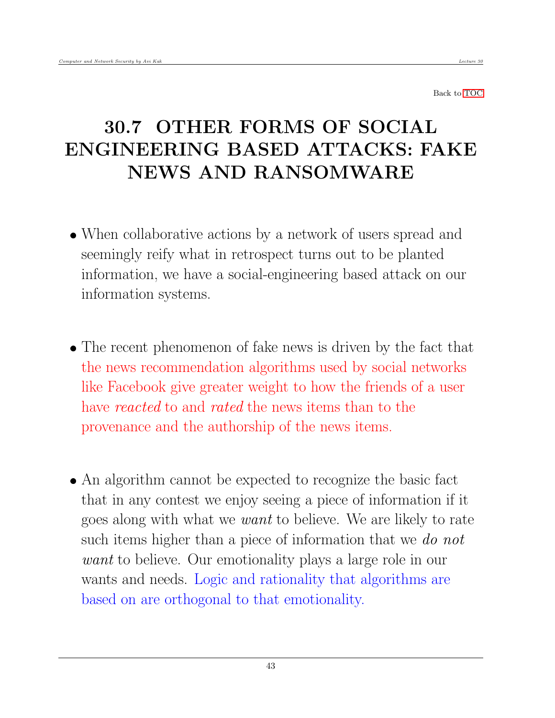# <span id="page-42-0"></span>30.7 OTHER FORMS OF SOCIAL ENGINEERING BASED ATTACKS: FAKE NEWS AND RANSOMWARE

- When collaborative actions by a network of users spread and seemingly reify what in retrospect turns out to be planted information, we have a social-engineering based attack on our information systems.
- $\bullet$  The recent phenomenon of fake news is driven by the fact that the news recommendation algorithms used by social networks like Facebook give greater weight to how the friends of a user have *reacted* to and *rated* the news items than to the provenance and the authorship of the news items.
- An algorithm cannot be expected to recognize the basic fact that in any contest we enjoy seeing a piece of information if it goes along with what we want to believe. We are likely to rate such items higher than a piece of information that we do not want to believe. Our emotionality plays a large role in our wants and needs. Logic and rationality that algorithms are based on are orthogonal to that emotionality.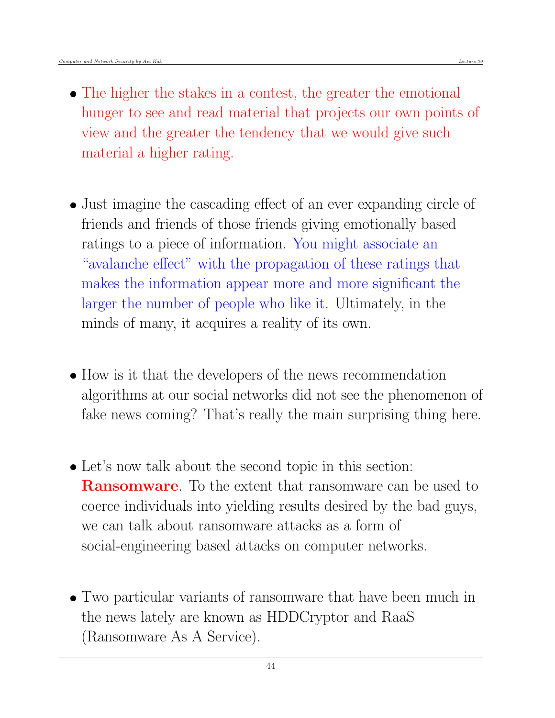- The higher the stakes in a contest, the greater the emotional hunger to see and read material that projects our own points of view and the greater the tendency that we would give such material a higher rating.
- Just imagine the cascading effect of an ever expanding circle of friends and friends of those friends giving emotionally based ratings to a piece of information. You might associate an "avalanche effect" with the propagation of these ratings that makes the information appear more and more significant the larger the number of people who like it. Ultimately, in the minds of many, it acquires a reality of its own.
- How is it that the developers of the news recommendation algorithms at our social networks did not see the phenomenon of fake news coming? That's really the main surprising thing here.
- Let's now talk about the second topic in this section: **Ransomware**. To the extent that ransomware can be used to coerce individuals into yielding results desired by the bad guys, we can talk about ransomware attacks as a form of social-engineering based attacks on computer networks.
- Two particular variants of ransomware that have been much in the news lately are known as HDDCryptor and RaaS (Ransomware As A Service).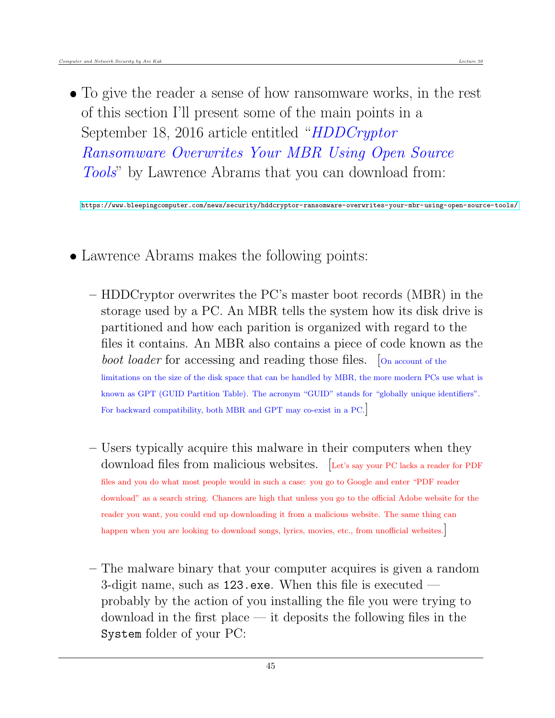To give the reader a sense of how ransomware works, in the rest of this section I'll present some of the main points in a September 18, 2016 article entitled "HDDCryptor Ransomware Overwrites Your MBR Using Open Source Tools" by Lawrence Abrams that you can download from:

<https://www.bleepingcomputer.com/news/security/hddcryptor-ransomware-overwrites-your-mbr-using-open-source-tools/>

- Lawrence Abrams makes the following points:
	- HDDCryptor overwrites the PC's master boot records (MBR) in the storage used by a PC. An MBR tells the system how its disk drive is partitioned and how each parition is organized with regard to the files it contains. An MBR also contains a piece of code known as the boot loader for accessing and reading those files. [On account of the limitations on the size of the disk space that can be handled by MBR, the more modern PCs use what is known as GPT (GUID Partition Table). The acronym "GUID" stands for "globally unique identifiers". For backward compatibility, both MBR and GPT may co-exist in a PC.
	- Users typically acquire this malware in their computers when they download files from malicious websites. Let's say your PC lacks a reader for PDF files and you do what most people would in such a case: you go to Google and enter "PDF reader download" as a search string. Chances are high that unless you go to the official Adobe website for the reader you want, you could end up downloading it from a malicious website. The same thing can happen when you are looking to download songs, lyrics, movies, etc., from unofficial websites.
	- The malware binary that your computer acquires is given a random 3-digit name, such as 123.exe. When this file is executed probably by the action of you installing the file you were trying to download in the first place — it deposits the following files in the System folder of your PC: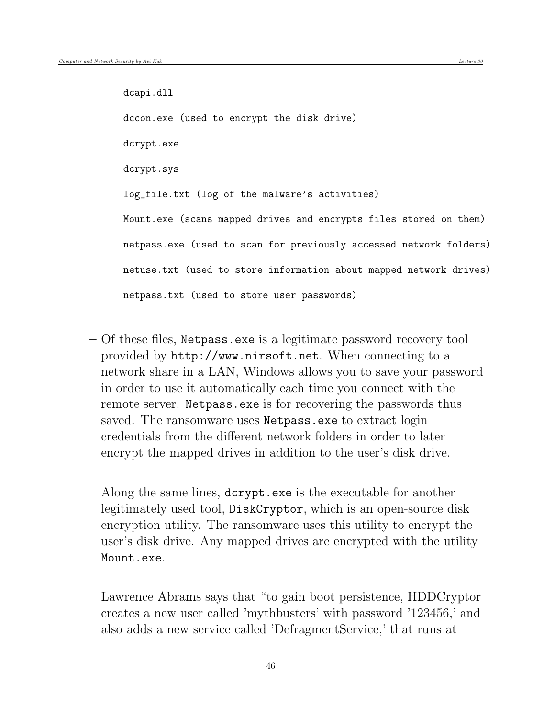dcapi.dll dccon.exe (used to encrypt the disk drive) dcrypt.exe dcrypt.sys log\_file.txt (log of the malware's activities) Mount.exe (scans mapped drives and encrypts files stored on them) netpass.exe (used to scan for previously accessed network folders) netuse.txt (used to store information about mapped network drives) netpass.txt (used to store user passwords)

- Of these files, Netpass.exe is a legitimate password recovery tool provided by http://www.nirsoft.net. When connecting to a network share in a LAN, Windows allows you to save your password in order to use it automatically each time you connect with the remote server. Netpass exe is for recovering the passwords thus saved. The ransomware uses Netpass.exe to extract login credentials from the different network folders in order to later encrypt the mapped drives in addition to the user's disk drive.
- Along the same lines, dcrypt.exe is the executable for another legitimately used tool, DiskCryptor, which is an open-source disk encryption utility. The ransomware uses this utility to encrypt the user's disk drive. Any mapped drives are encrypted with the utility Mount.exe.
- Lawrence Abrams says that "to gain boot persistence, HDDCryptor creates a new user called 'mythbusters' with password '123456,' and also adds a new service called 'DefragmentService,' that runs at